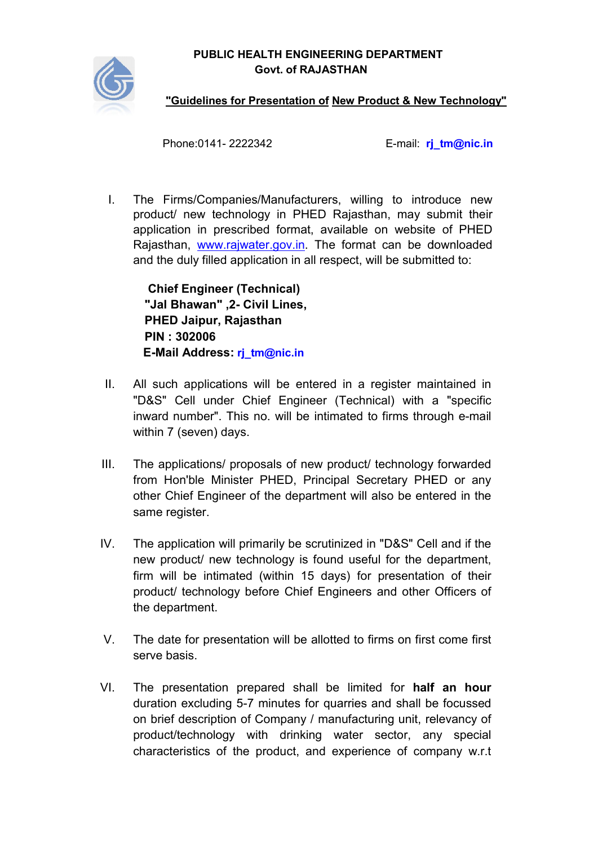PUBLIC HEALTH ENGINEERING DEPARTMENT PUBLIC HEALTH ENGINEERING DEPARTMENT<br>Govt. of RAJASTHAN<br>"Guidelines for Presentation of New Product & New Technology" Govt. of RAJASTHAN



Phone:0141

e:0141- 2222342 E-mail: [rj\\_tm@nic.in](mailto:rj_tm@nic.in) rj\_tm@nic.in

I. The Firms/Companies/M Firms/Companies/Manufacturers, willing to introduce new product/ new technology in PHED Rajasthan, may submit their application in prescribed format, available on website of PHED Rajasthan, [www.rajwater.gov.in](http://www.rajwater.gov.in/)</u>. The format can be downloaded and the duly filled application in all respect, will be submitted to:

Chief Engineer ( (Technical) "Jal Bhawan Bhawan" ,2- Civil Lines, PHED Jaipur Jaipur, Rajasthan PIN : 302006 E-Mail Address Mail Address: [rj\\_tm@nic.in](mailto:rj_tm@nic.in)

- II. All such applications will be entered in a register maintained in All such applications will be entered in a register maintained in<br>"D&S" Cell under Chief Engineer (Technical) with a "specific inward number". This no. will be intimated to firms through e-mail within 7 (seven) days.
- III. The applications/ proposals of new product/ technology forwarded The applications/ proposals of new product/ technology forwarded<br>from Hon'ble Minister PHED, Principal Secretary PHED or any other Chief Engineer of the department will also be entered in the same register.
- IV. The application will primarily be scrutinized in "D&S" Cell and if the new product/ new technology is found useful for the department, firm will be intimated (within 15 days) for presentation of their product/ technology before Chief Engineers and other Officers of the department.
- V. The date for presentation will be allotted to firms on first come first serve basis.
- VI. The presentation prepared shall be limited for **half an hour** duration excluding 5-7 minutes for quarries and shall be focussed on brief description of Co Company / manufacturing unit, relevancy of on brief description of Company / manufacturing unit, relevancy of<br>product/technology with drinking water sector, any special characteristics of the product, and experience of company w.r.t